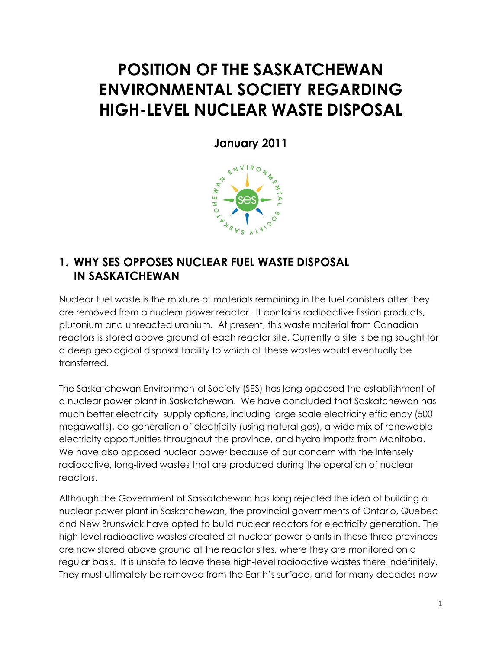# **POSITION OF THE SASKATCHEWAN ENVIRONMENTAL SOCIETY REGARDING HIGH-LEVEL NUCLEAR WASTE DISPOSAL**

**January 2011**



#### **1. WHY SES OPPOSES NUCLEAR FUEL WASTE DISPOSAL IN SASKATCHEWAN**

Nuclear fuel waste is the mixture of materials remaining in the fuel canisters after they are removed from a nuclear power reactor. It contains radioactive fission products, plutonium and unreacted uranium. At present, this waste material from Canadian reactors is stored above ground at each reactor site. Currently a site is being sought for a deep geological disposal facility to which all these wastes would eventually be transferred.

The Saskatchewan Environmental Society (SES) has long opposed the establishment of a nuclear power plant in Saskatchewan. We have concluded that Saskatchewan has much better electricity supply options, including large scale electricity efficiency (500 megawatts), co-generation of electricity (using natural gas), a wide mix of renewable electricity opportunities throughout the province, and hydro imports from Manitoba. We have also opposed nuclear power because of our concern with the intensely radioactive, long-lived wastes that are produced during the operation of nuclear reactors.

Although the Government of Saskatchewan has long rejected the idea of building a nuclear power plant in Saskatchewan, the provincial governments of Ontario, Quebec and New Brunswick have opted to build nuclear reactors for electricity generation. The high-level radioactive wastes created at nuclear power plants in these three provinces are now stored above ground at the reactor sites, where they are monitored on a regular basis. It is unsafe to leave these high-level radioactive wastes there indefinitely. They must ultimately be removed from the Earth's surface, and for many decades now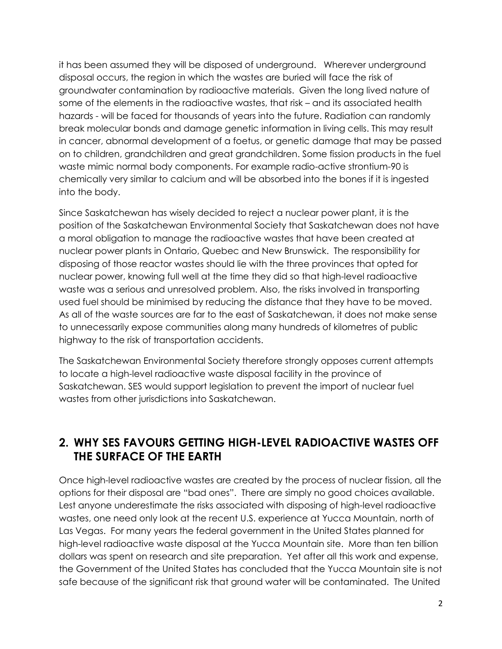it has been assumed they will be disposed of underground. Wherever underground disposal occurs, the region in which the wastes are buried will face the risk of groundwater contamination by radioactive materials. Given the long lived nature of some of the elements in the radioactive wastes, that risk – and its associated health hazards - will be faced for thousands of years into the future. Radiation can randomly break molecular bonds and damage genetic information in living cells. This may result in cancer, abnormal development of a foetus, or genetic damage that may be passed on to children, grandchildren and great grandchildren. Some fission products in the fuel waste mimic normal body components. For example radio-active strontium-90 is chemically very similar to calcium and will be absorbed into the bones if it is ingested into the body.

Since Saskatchewan has wisely decided to reject a nuclear power plant, it is the position of the Saskatchewan Environmental Society that Saskatchewan does not have a moral obligation to manage the radioactive wastes that have been created at nuclear power plants in Ontario, Quebec and New Brunswick. The responsibility for disposing of those reactor wastes should lie with the three provinces that opted for nuclear power, knowing full well at the time they did so that high-level radioactive waste was a serious and unresolved problem. Also, the risks involved in transporting used fuel should be minimised by reducing the distance that they have to be moved. As all of the waste sources are far to the east of Saskatchewan, it does not make sense to unnecessarily expose communities along many hundreds of kilometres of public highway to the risk of transportation accidents.

The Saskatchewan Environmental Society therefore strongly opposes current attempts to locate a high-level radioactive waste disposal facility in the province of Saskatchewan. SES would support legislation to prevent the import of nuclear fuel wastes from other jurisdictions into Saskatchewan.

#### **2. WHY SES FAVOURS GETTING HIGH-LEVEL RADIOACTIVE WASTES OFF THE SURFACE OF THE EARTH**

Once high-level radioactive wastes are created by the process of nuclear fission, all the options for their disposal are "bad ones". There are simply no good choices available. Lest anyone underestimate the risks associated with disposing of high-level radioactive wastes, one need only look at the recent U.S. experience at Yucca Mountain, north of Las Vegas. For many years the federal government in the United States planned for high-level radioactive waste disposal at the Yucca Mountain site. More than ten billion dollars was spent on research and site preparation. Yet after all this work and expense, the Government of the United States has concluded that the Yucca Mountain site is not safe because of the significant risk that ground water will be contaminated. The United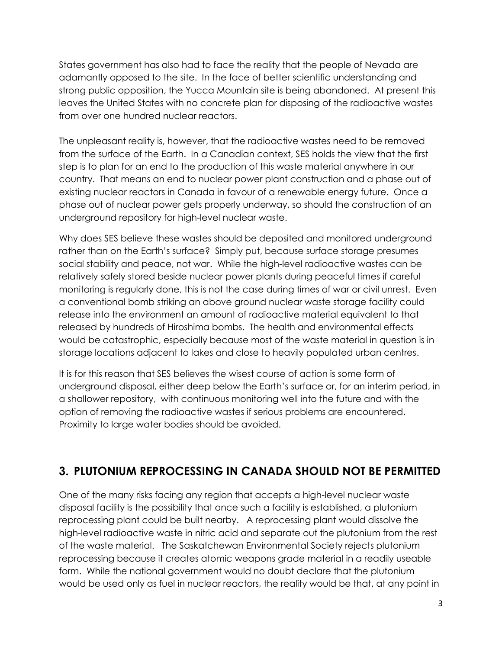States government has also had to face the reality that the people of Nevada are adamantly opposed to the site. In the face of better scientific understanding and strong public opposition, the Yucca Mountain site is being abandoned. At present this leaves the United States with no concrete plan for disposing of the radioactive wastes from over one hundred nuclear reactors.

The unpleasant reality is, however, that the radioactive wastes need to be removed from the surface of the Earth. In a Canadian context, SES holds the view that the first step is to plan for an end to the production of this waste material anywhere in our country. That means an end to nuclear power plant construction and a phase out of existing nuclear reactors in Canada in favour of a renewable energy future. Once a phase out of nuclear power gets properly underway, so should the construction of an underground repository for high-level nuclear waste.

Why does SES believe these wastes should be deposited and monitored underground rather than on the Earth's surface? Simply put, because surface storage presumes social stability and peace, not war. While the high-level radioactive wastes can be relatively safely stored beside nuclear power plants during peaceful times if careful monitoring is regularly done, this is not the case during times of war or civil unrest. Even a conventional bomb striking an above ground nuclear waste storage facility could release into the environment an amount of radioactive material equivalent to that released by hundreds of Hiroshima bombs. The health and environmental effects would be catastrophic, especially because most of the waste material in question is in storage locations adjacent to lakes and close to heavily populated urban centres.

It is for this reason that SES believes the wisest course of action is some form of underground disposal, either deep below the Earth's surface or, for an interim period, in a shallower repository, with continuous monitoring well into the future and with the option of removing the radioactive wastes if serious problems are encountered. Proximity to large water bodies should be avoided.

#### **3. PLUTONIUM REPROCESSING IN CANADA SHOULD NOT BE PERMITTED**

One of the many risks facing any region that accepts a high-level nuclear waste disposal facility is the possibility that once such a facility is established, a plutonium reprocessing plant could be built nearby. A reprocessing plant would dissolve the high-level radioactive waste in nitric acid and separate out the plutonium from the rest of the waste material. The Saskatchewan Environmental Society rejects plutonium reprocessing because it creates atomic weapons grade material in a readily useable form. While the national government would no doubt declare that the plutonium would be used only as fuel in nuclear reactors, the reality would be that, at any point in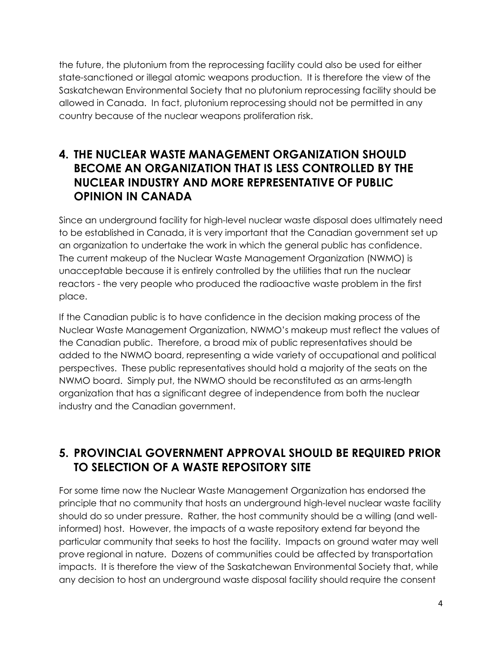the future, the plutonium from the reprocessing facility could also be used for either state-sanctioned or illegal atomic weapons production. It is therefore the view of the Saskatchewan Environmental Society that no plutonium reprocessing facility should be allowed in Canada. In fact, plutonium reprocessing should not be permitted in any country because of the nuclear weapons proliferation risk.

#### **4. THE NUCLEAR WASTE MANAGEMENT ORGANIZATION SHOULD BECOME AN ORGANIZATION THAT IS LESS CONTROLLED BY THE NUCLEAR INDUSTRY AND MORE REPRESENTATIVE OF PUBLIC OPINION IN CANADA**

Since an underground facility for high-level nuclear waste disposal does ultimately need to be established in Canada, it is very important that the Canadian government set up an organization to undertake the work in which the general public has confidence. The current makeup of the Nuclear Waste Management Organization (NWMO) is unacceptable because it is entirely controlled by the utilities that run the nuclear reactors - the very people who produced the radioactive waste problem in the first place.

If the Canadian public is to have confidence in the decision making process of the Nuclear Waste Management Organization, NWMO's makeup must reflect the values of the Canadian public. Therefore, a broad mix of public representatives should be added to the NWMO board, representing a wide variety of occupational and political perspectives. These public representatives should hold a majority of the seats on the NWMO board. Simply put, the NWMO should be reconstituted as an arms-length organization that has a significant degree of independence from both the nuclear industry and the Canadian government.

#### **5. PROVINCIAL GOVERNMENT APPROVAL SHOULD BE REQUIRED PRIOR TO SELECTION OF A WASTE REPOSITORY SITE**

For some time now the Nuclear Waste Management Organization has endorsed the principle that no community that hosts an underground high-level nuclear waste facility should do so under pressure. Rather, the host community should be a willing (and wellinformed) host. However, the impacts of a waste repository extend far beyond the particular community that seeks to host the facility. Impacts on ground water may well prove regional in nature. Dozens of communities could be affected by transportation impacts. It is therefore the view of the Saskatchewan Environmental Society that, while any decision to host an underground waste disposal facility should require the consent